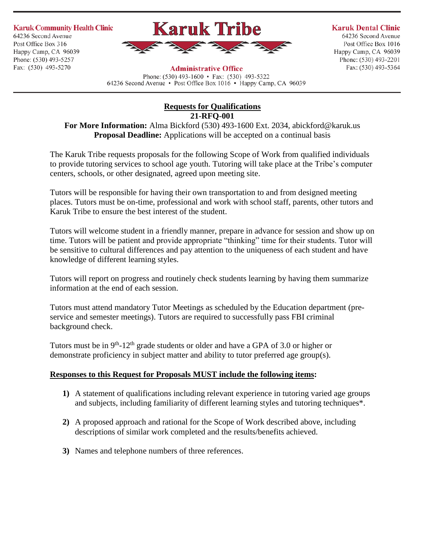**Karuk Community Health Clinic** 64236 Second Avenue Post Office Box 316 Happy Camp, CA 96039 Phone: (530) 493-5257 Fax: (530) 493-5270



## **Administrative Office**

Phone:  $(530)$  493-1600 • Fax:  $(530)$  493-5322 64236 Second Avenue • Post Office Box 1016 • Happy Camp, CA 96039

## **Karuk Dental Clinic**

64236 Second Avenue Post Office Box 1016 Happy Camp, CA 96039 Phone: (530) 493-2201 Fax: (530) 493-5364

**Requests for Qualifications 21-RFQ-001**

**For More Information:** Alma Bickford (530) 493-1600 Ext. 2034, abickford@karuk.us **Proposal Deadline:** Applications will be accepted on a continual basis

The Karuk Tribe requests proposals for the following Scope of Work from qualified individuals to provide tutoring services to school age youth. Tutoring will take place at the Tribe's computer centers, schools, or other designated, agreed upon meeting site.

Tutors will be responsible for having their own transportation to and from designed meeting places. Tutors must be on-time, professional and work with school staff, parents, other tutors and Karuk Tribe to ensure the best interest of the student.

Tutors will welcome student in a friendly manner, prepare in advance for session and show up on time. Tutors will be patient and provide appropriate "thinking" time for their students. Tutor will be sensitive to cultural differences and pay attention to the uniqueness of each student and have knowledge of different learning styles.

Tutors will report on progress and routinely check students learning by having them summarize information at the end of each session.

Tutors must attend mandatory Tutor Meetings as scheduled by the Education department (preservice and semester meetings). Tutors are required to successfully pass FBI criminal background check.

Tutors must be in  $9<sup>th</sup> - 12<sup>th</sup>$  grade students or older and have a GPA of 3.0 or higher or demonstrate proficiency in subject matter and ability to tutor preferred age group(s).

## **Responses to this Request for Proposals MUST include the following items:**

- **1)** A statement of qualifications including relevant experience in tutoring varied age groups and subjects, including familiarity of different learning styles and tutoring techniques\*.
- **2)** A proposed approach and rational for the Scope of Work described above, including descriptions of similar work completed and the results/benefits achieved.
- **3)** Names and telephone numbers of three references.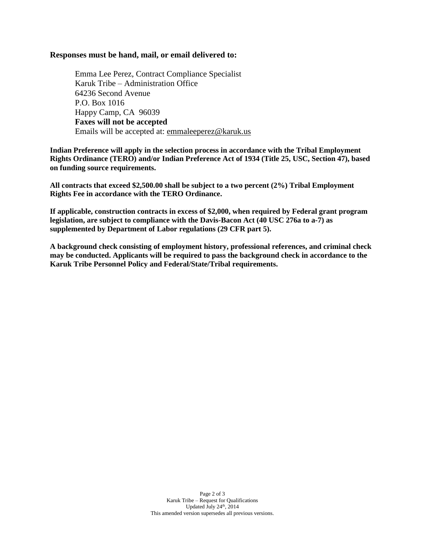## **Responses must be hand, mail, or email delivered to:**

Emma Lee Perez, Contract Compliance Specialist Karuk Tribe – Administration Office 64236 Second Avenue P.O. Box 1016 Happy Camp, CA 96039 **Faxes will not be accepted** Emails will be accepted at: [emmaleeperez@karuk.us](mailto:emmaleeperez@karuk.us)

**Indian Preference will apply in the selection process in accordance with the Tribal Employment Rights Ordinance (TERO) and/or Indian Preference Act of 1934 (Title 25, USC, Section 47), based on funding source requirements.**

**All contracts that exceed \$2,500.00 shall be subject to a two percent (2%) Tribal Employment Rights Fee in accordance with the TERO Ordinance.**

**If applicable, construction contracts in excess of \$2,000, when required by Federal grant program legislation, are subject to compliance with the Davis-Bacon Act (40 USC 276a to a-7) as supplemented by Department of Labor regulations (29 CFR part 5).**

**A background check consisting of employment history, professional references, and criminal check may be conducted. Applicants will be required to pass the background check in accordance to the Karuk Tribe Personnel Policy and Federal/State/Tribal requirements.**